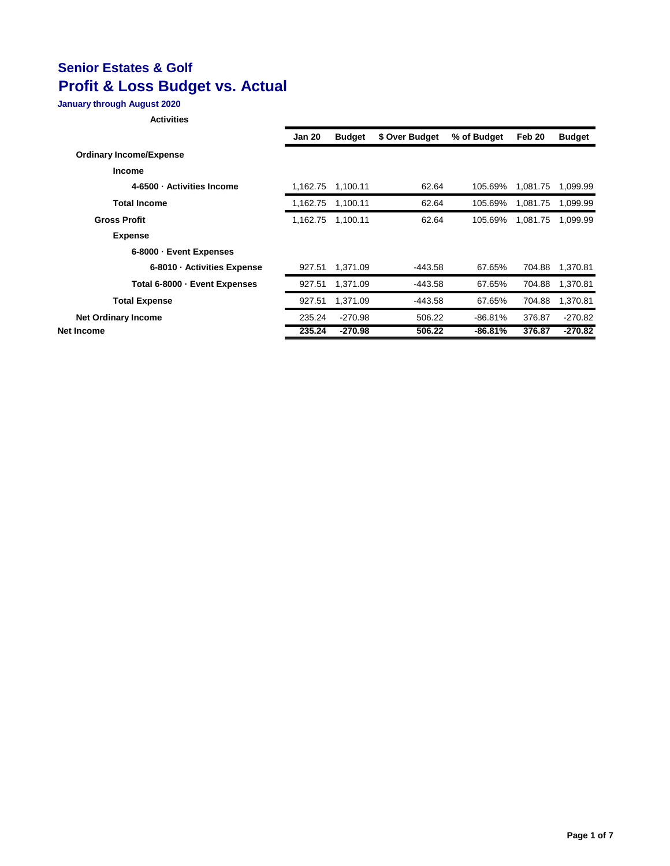### **January through August 2020**

|                                | <b>Jan 20</b> | <b>Budget</b> | \$ Over Budget | % of Budget | Feb 20   | <b>Budget</b> |
|--------------------------------|---------------|---------------|----------------|-------------|----------|---------------|
| <b>Ordinary Income/Expense</b> |               |               |                |             |          |               |
| <b>Income</b>                  |               |               |                |             |          |               |
| 4-6500 · Activities Income     | 1.162.75      | 1,100.11      | 62.64          | 105.69%     | 1.081.75 | 1,099.99      |
| <b>Total Income</b>            | 1.162.75      | 1,100.11      | 62.64          | 105.69%     | 1.081.75 | 1,099.99      |
| <b>Gross Profit</b>            | 1,162.75      | 1.100.11      | 62.64          | 105.69%     | 1,081.75 | 1,099.99      |
| <b>Expense</b>                 |               |               |                |             |          |               |
| 6-8000 · Event Expenses        |               |               |                |             |          |               |
| 6-8010 · Activities Expense    | 927.51        | 1,371.09      | -443.58        | 67.65%      | 704.88   | 1,370.81      |
| Total 6-8000 - Event Expenses  | 927.51        | 1.371.09      | -443.58        | 67.65%      | 704.88   | 1,370.81      |
| <b>Total Expense</b>           | 927.51        | 1.371.09      | -443.58        | 67.65%      | 704.88   | 1,370.81      |
| <b>Net Ordinary Income</b>     | 235.24        | $-270.98$     | 506.22         | $-86.81%$   | 376.87   | $-270.82$     |
| Net Income                     | 235.24        | -270.98       | 506.22         | $-86.81%$   | 376.87   | $-270.82$     |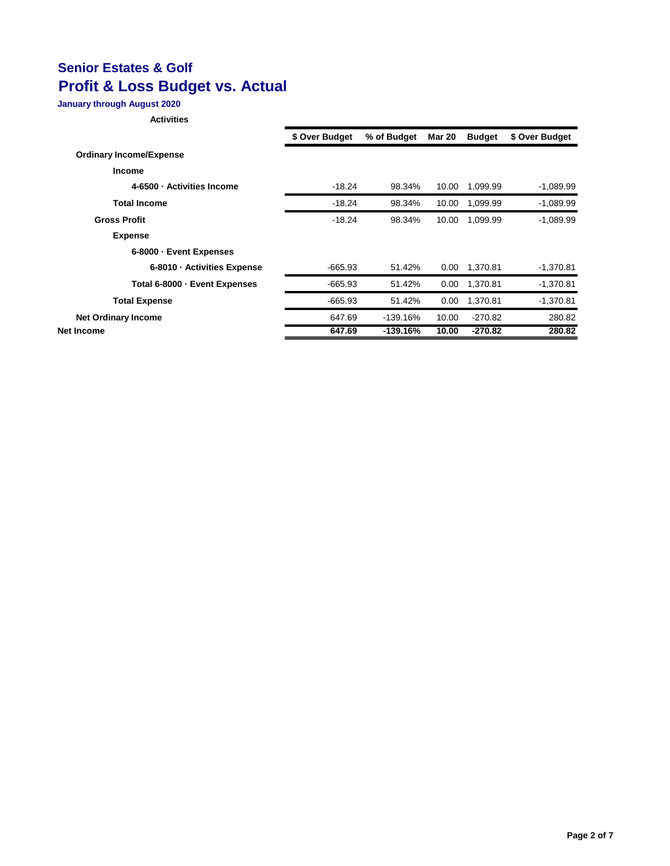### **January through August 2020**

|                                | \$ Over Budget | % of Budget | <b>Mar 20</b> | <b>Budget</b> | \$ Over Budget |
|--------------------------------|----------------|-------------|---------------|---------------|----------------|
| <b>Ordinary Income/Expense</b> |                |             |               |               |                |
| <b>Income</b>                  |                |             |               |               |                |
| 4-6500 · Activities Income     | $-18.24$       | 98.34%      | 10.00         | 1,099.99      | $-1,089.99$    |
| <b>Total Income</b>            | $-18.24$       | 98.34%      | 10.00         | 1,099.99      | $-1,089.99$    |
| <b>Gross Profit</b>            | $-18.24$       | 98.34%      | 10.00         | 1.099.99      | $-1.089.99$    |
| <b>Expense</b>                 |                |             |               |               |                |
| 6-8000 · Event Expenses        |                |             |               |               |                |
| 6-8010 - Activities Expense    | $-665.93$      | 51.42%      | 0.00          | 1.370.81      | $-1,370.81$    |
| Total 6-8000 - Event Expenses  | $-665.93$      | 51.42%      | 0.00          | 1,370.81      | $-1,370.81$    |
| <b>Total Expense</b>           | $-665.93$      | 51.42%      | 0.00          | 1,370.81      | $-1,370.81$    |
| <b>Net Ordinary Income</b>     | 647.69         | $-139.16%$  | 10.00         | $-270.82$     | 280.82         |
| Net Income                     | 647.69         | $-139.16%$  | 10.00         | $-270.82$     | 280.82         |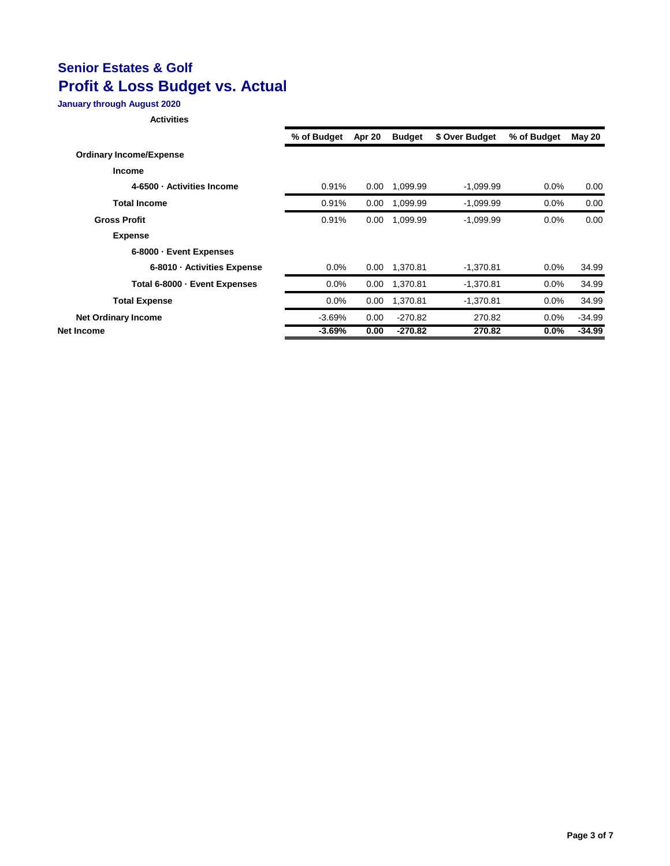### **January through August 2020**

|                                | % of Budget | Apr 20 | <b>Budget</b> | \$ Over Budget | % of Budget | May 20   |
|--------------------------------|-------------|--------|---------------|----------------|-------------|----------|
| <b>Ordinary Income/Expense</b> |             |        |               |                |             |          |
| <b>Income</b>                  |             |        |               |                |             |          |
| 4-6500 · Activities Income     | 0.91%       | 0.00   | 1,099.99      | $-1,099.99$    | $0.0\%$     | 0.00     |
| <b>Total Income</b>            | 0.91%       | 0.00   | 1,099.99      | $-1,099.99$    | $0.0\%$     | 0.00     |
| <b>Gross Profit</b>            | 0.91%       | 0.00   | 1,099.99      | $-1.099.99$    | 0.0%        | 0.00     |
| <b>Expense</b>                 |             |        |               |                |             |          |
| 6-8000 · Event Expenses        |             |        |               |                |             |          |
| 6-8010 - Activities Expense    | $0.0\%$     | 0.00   | 1.370.81      | $-1,370.81$    | $0.0\%$     | 34.99    |
| Total 6-8000 - Event Expenses  | $0.0\%$     | 0.00   | 1,370.81      | $-1,370.81$    | $0.0\%$     | 34.99    |
| <b>Total Expense</b>           | $0.0\%$     | 0.00   | 1,370.81      | $-1,370.81$    | $0.0\%$     | 34.99    |
| <b>Net Ordinary Income</b>     | $-3.69%$    | 0.00   | $-270.82$     | 270.82         | $0.0\%$     | $-34.99$ |
| <b>Net Income</b>              | $-3.69%$    | 0.00   | $-270.82$     | 270.82         | $0.0\%$     | $-34.99$ |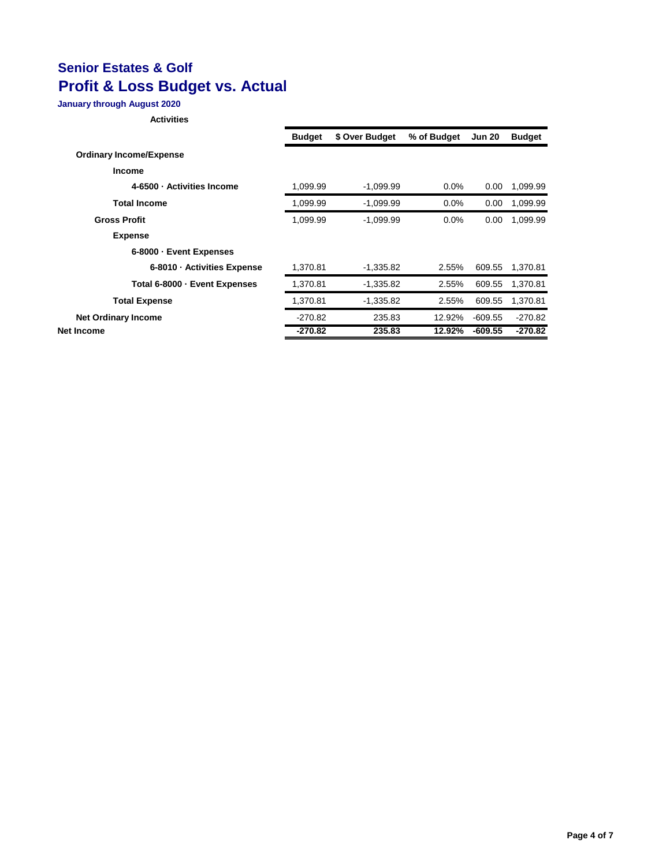### **January through August 2020**

|                                | <b>Budget</b> | \$ Over Budget | % of Budget | <b>Jun 20</b> | <b>Budget</b> |
|--------------------------------|---------------|----------------|-------------|---------------|---------------|
| <b>Ordinary Income/Expense</b> |               |                |             |               |               |
| <b>Income</b>                  |               |                |             |               |               |
| 4-6500 · Activities Income     | 1,099.99      | $-1,099.99$    | 0.0%        | 0.00          | 1,099.99      |
| <b>Total Income</b>            | 1,099.99      | $-1,099.99$    | $0.0\%$     | 0.00          | 1,099.99      |
| <b>Gross Profit</b>            | 1,099.99      | $-1,099.99$    | 0.0%        | 0.00          | 1,099.99      |
| <b>Expense</b>                 |               |                |             |               |               |
| 6-8000 · Event Expenses        |               |                |             |               |               |
| 6-8010 - Activities Expense    | 1,370.81      | $-1,335.82$    | 2.55%       | 609.55        | 1,370.81      |
| Total 6-8000 - Event Expenses  | 1,370.81      | $-1,335.82$    | 2.55%       | 609.55        | 1,370.81      |
| <b>Total Expense</b>           | 1,370.81      | $-1,335.82$    | 2.55%       | 609.55        | 1,370.81      |
| <b>Net Ordinary Income</b>     | $-270.82$     | 235.83         | 12.92%      | $-609.55$     | $-270.82$     |
| Net Income                     | $-270.82$     | 235.83         | 12.92%      | $-609.55$     | $-270.82$     |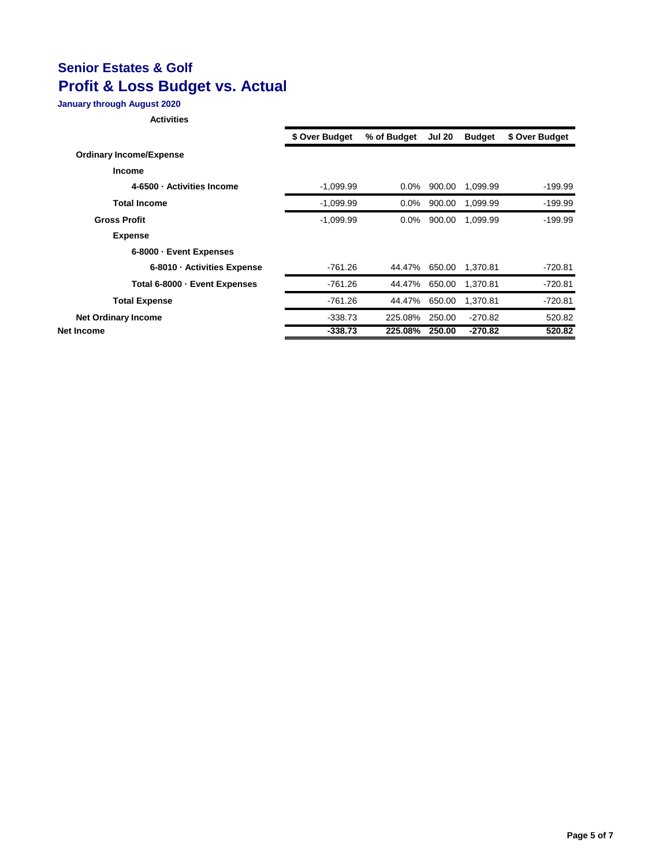### **January through August 2020**

|                                | \$ Over Budget | % of Budget | <b>Jul 20</b> | <b>Budget</b> | \$ Over Budget |
|--------------------------------|----------------|-------------|---------------|---------------|----------------|
| <b>Ordinary Income/Expense</b> |                |             |               |               |                |
| <b>Income</b>                  |                |             |               |               |                |
| 4-6500 - Activities Income     | $-1,099.99$    | $0.0\%$     | 900.00        | 1,099.99      | $-199.99$      |
| <b>Total Income</b>            | $-1,099.99$    | $0.0\%$     | 900.00        | 1.099.99      | $-199.99$      |
| <b>Gross Profit</b>            | $-1,099.99$    | $0.0\%$     | 900.00        | 1.099.99      | $-199.99$      |
| <b>Expense</b>                 |                |             |               |               |                |
| 6-8000 · Event Expenses        |                |             |               |               |                |
| 6-8010 - Activities Expense    | $-761.26$      | 44.47%      | 650.00        | 1.370.81      | $-720.81$      |
| Total 6-8000 - Event Expenses  | $-761.26$      | 44.47%      | 650.00        | 1,370.81      | $-720.81$      |
| <b>Total Expense</b>           | -761.26        | 44.47%      | 650.00        | 1.370.81      | $-720.81$      |
| <b>Net Ordinary Income</b>     | $-338.73$      | 225.08%     | 250.00        | $-270.82$     | 520.82         |
| Net Income                     | $-338.73$      | 225.08%     | 250.00        | $-270.82$     | 520.82         |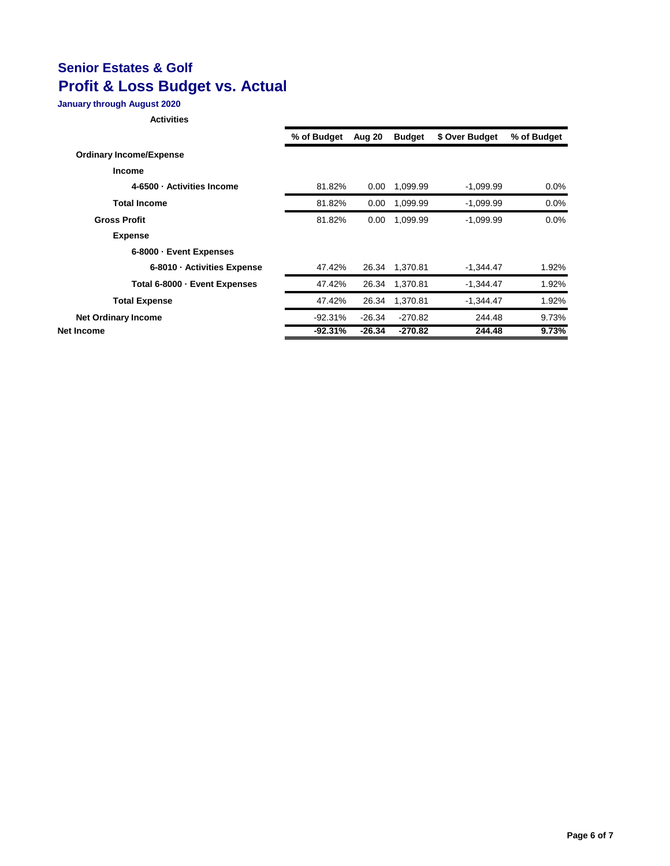### **January through August 2020**

|                                | % of Budget | Aug 20   | <b>Budget</b> | \$ Over Budget | % of Budget |
|--------------------------------|-------------|----------|---------------|----------------|-------------|
| <b>Ordinary Income/Expense</b> |             |          |               |                |             |
| <b>Income</b>                  |             |          |               |                |             |
| 4-6500 · Activities Income     | 81.82%      | 0.00     | 1,099.99      | $-1,099.99$    | $0.0\%$     |
| <b>Total Income</b>            | 81.82%      | 0.00     | 1.099.99      | $-1.099.99$    | 0.0%        |
| <b>Gross Profit</b>            | 81.82%      | 0.00     | 1,099.99      | $-1,099.99$    | 0.0%        |
| <b>Expense</b>                 |             |          |               |                |             |
| 6-8000 · Event Expenses        |             |          |               |                |             |
| 6-8010 - Activities Expense    | 47.42%      | 26.34    | 1,370.81      | $-1,344.47$    | 1.92%       |
| Total 6-8000 - Event Expenses  | 47.42%      | 26.34    | 1,370.81      | $-1,344.47$    | 1.92%       |
| <b>Total Expense</b>           | 47.42%      | 26.34    | 1.370.81      | $-1,344.47$    | 1.92%       |
| <b>Net Ordinary Income</b>     | $-92.31%$   | $-26.34$ | $-270.82$     | 244.48         | 9.73%       |
| Net Income                     | $-92.31%$   | $-26.34$ | $-270.82$     | 244.48         | 9.73%       |